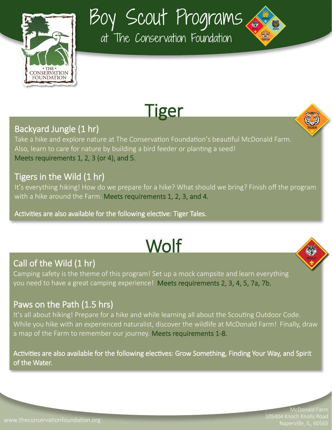

Boy Scout Programs

at The Conservation Foundation



### Backyard Jungle (1 hr)

Take a hike and explore nature at The Conservation Foundation's beautiful McDonald Farm. Also, learn to care for nature by building a bird feeder or planting a seed! Meets requirements 1, 2, 3 (or 4), and 5.

#### Tigers in the Wild (1 hr)

It's everything hiking! How do we prepare for a hike? What should we bring? Finish off the program with a hike around the Farm. Meets requirements 1, 2, 3, and 4.

Activities are also available for the following elective: Tiger Tales.

# **Wolf**

# Call of the Wild (1 hr)

Camping safety is the theme of this program! Set up a mock campsite and learn everything you need to have a great camping experience! Meets requirements 2, 3, 4, 5, 7a, 7b.

#### Paws on the Path (1.5 hrs)

It's all about hiking! Prepare for a hike and while learning all about the Scouting Outdoor Code. While you hike with an experienced naturalist, discover the wildlife at McDonald Farm! Finally, draw a map of the Farm to remember our journey. Meets requirements 1-8.

Activities are also available for the following electives: Grow Something, Finding Your Way, and Spirit of the Water.

> McDonald Farm 10S404 Knoch Knolls Road Naperville, IL, 60565